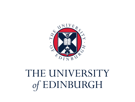

# THE UNIVERSITY of EDINBURGH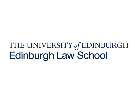## THE UNIVERSITY of EDINBURGH **Edinburgh Law School**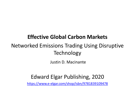#### **Effective Global Carbon Markets**

### Networked Emissions Trading Using Disruptive Technology

Justin D. Macinante

#### Edward Elgar Publishing, 2020

<https://www.e-elgar.com/shop/isbn/9781839109478>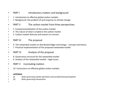- PART I Introductory matters and background
- 1 Introduction to effective global carbon markets
- 2 Background: the problem of and response to climate change
- PART II The carbon market from three perspectives
- 3 Compartmentalisation of the carbon market
- 4 The nature of what is traded in the carbon market
- 5 Carbon market diversity and reasons to connect
- •

•

•

•

•

•

•

•

•

- PART III The proposal
- 6 The networked market on distributed ledger technology concept and theory
- 7 Practical implementation of the proposed networked market
- PART IV Analysis of the proposal
- 8 Governance structure for the networked market
- 9 Analysis of the networked market legal issues
- PART V Concluding matters
- 10 Conclusions on effective global carbon markets
- • *APPENDIX*
- *(i) Rules governing market operation and jurisdictional participation*
- *(ii) Rules governing transactions*
- •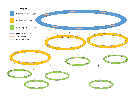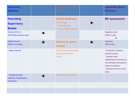| <b>Supervisory/</b><br><b>Regulatory</b>                             |   | <b>Self-regulatory Market</b><br><b>Operation</b>                                            |   | <b>Independent Market</b><br><b>Information</b>                                                                                                                                                           |
|----------------------------------------------------------------------|---|----------------------------------------------------------------------------------------------|---|-----------------------------------------------------------------------------------------------------------------------------------------------------------------------------------------------------------|
| <b>Overriding</b><br><b>Supervisory</b><br><b>Bodies</b>             |   | <b>Smart Contracts</b><br>Rules as code<br>* Transaction rules<br>* Environmental boundaries |   | <b>MV assessment</b>                                                                                                                                                                                      |
| <b>Climate UNFCCC</b><br>(COP/CMA/subsidiary body)                   | → |                                                                                              |   | <b>Regulatory body</b><br>(ESMA model)<br>↓                                                                                                                                                               |
| <b>Global Financial</b><br>(IOSCO committee)                         | → | <b>Network of carbon</b><br>markets                                                          | ← | <b>Assessors</b><br>(CRA model)                                                                                                                                                                           |
| * acting conjointly                                                  |   | Administrators of participating<br><b>ETSs as permissioned</b><br>owners                     |   | * independent, objective,<br>technical process<br>* regulatory body<br>independent but overseen by<br>and ultimately answerable to<br><b>Supervisory Bodies</b><br>* assessors from the private<br>sector |
| * domestic financial<br>regulators of participating<br>jurisdictions | → | Authorised entities trading                                                                  |   |                                                                                                                                                                                                           |
|                                                                      |   |                                                                                              |   |                                                                                                                                                                                                           |